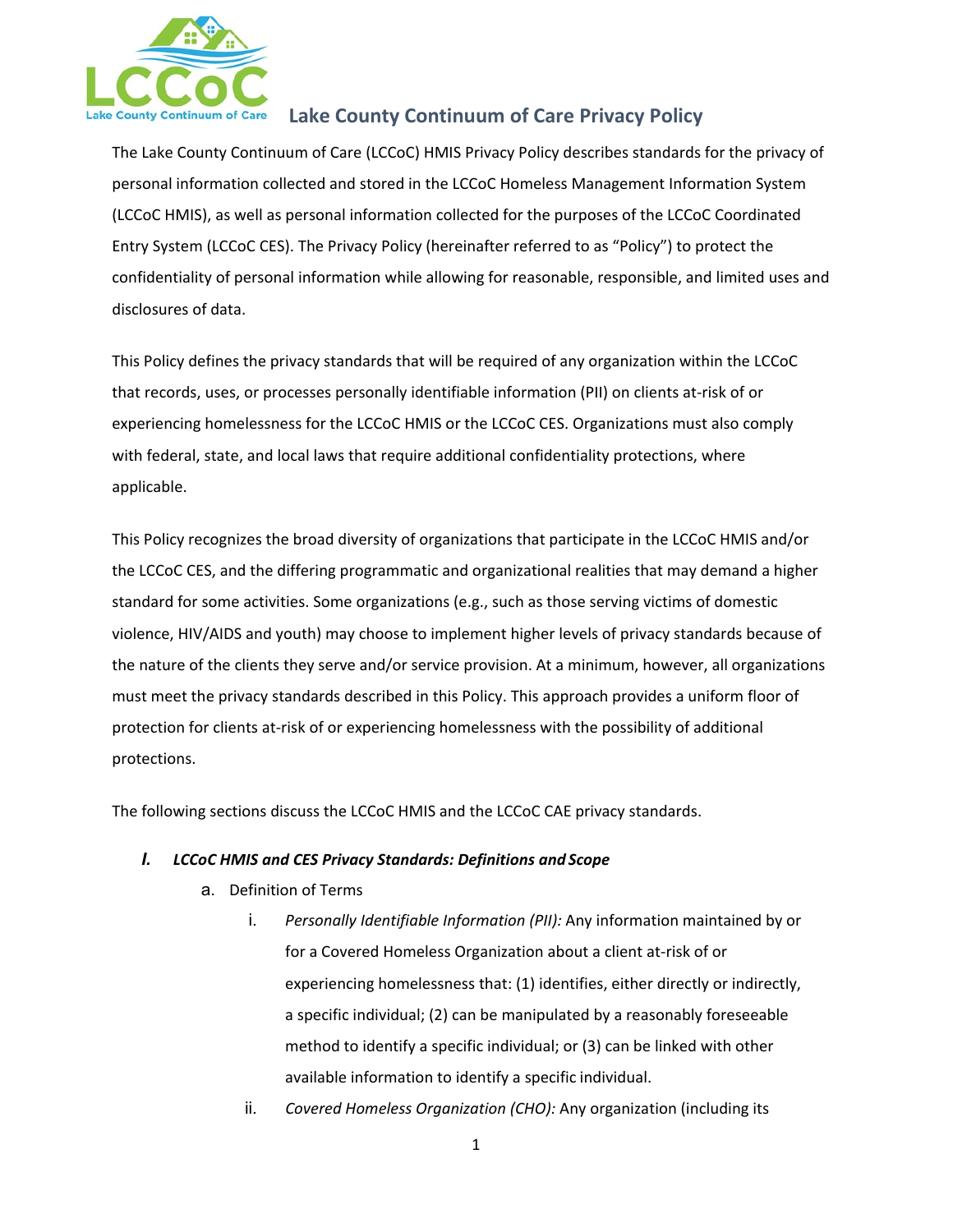

The Lake County Continuum of Care (LCCoC) HMIS Privacy Policy describes standards for the privacy of personal information collected and stored in the LCCoC Homeless Management Information System (LCCoC HMIS), as well as personal information collected for the purposes of the LCCoC Coordinated Entry System (LCCoC CES). The Privacy Policy (hereinafter referred to as "Policy") to protect the confidentiality of personal information while allowing for reasonable, responsible, and limited uses and disclosures of data.

This Policy defines the privacy standards that will be required of any organization within the LCCoC that records, uses, or processes personally identifiable information (PII) on clients at-risk of or experiencing homelessness for the LCCoC HMIS or the LCCoC CES. Organizations must also comply with federal, state, and local laws that require additional confidentiality protections, where applicable.

This Policy recognizes the broad diversity of organizations that participate in the LCCoC HMIS and/or the LCCoC CES, and the differing programmatic and organizational realities that may demand a higher standard for some activities. Some organizations (e.g., such as those serving victims of domestic violence, HIV/AIDS and youth) may choose to implement higher levels of privacy standards because of the nature of the clients they serve and/or service provision. At a minimum, however, all organizations must meet the privacy standards described in this Policy. This approach provides a uniform floor of protection for clients at-risk of or experiencing homelessness with the possibility of additional protections.

The following sections discuss the LCCoC HMIS and the LCCoC CAE privacy standards.

### *I. LCCoC HMIS and CES Privacy Standards: Definitions and Scope*

- a. Definition of Terms
	- i. *Personally Identifiable Information (PII):* Any information maintained by or for a Covered Homeless Organization about a client at-risk of or experiencing homelessness that: (1) identifies, either directly or indirectly, a specific individual; (2) can be manipulated by a reasonably foreseeable method to identify a specific individual; or (3) can be linked with other available information to identify a specific individual.
	- ii. *Covered Homeless Organization (CHO):* Any organization (including its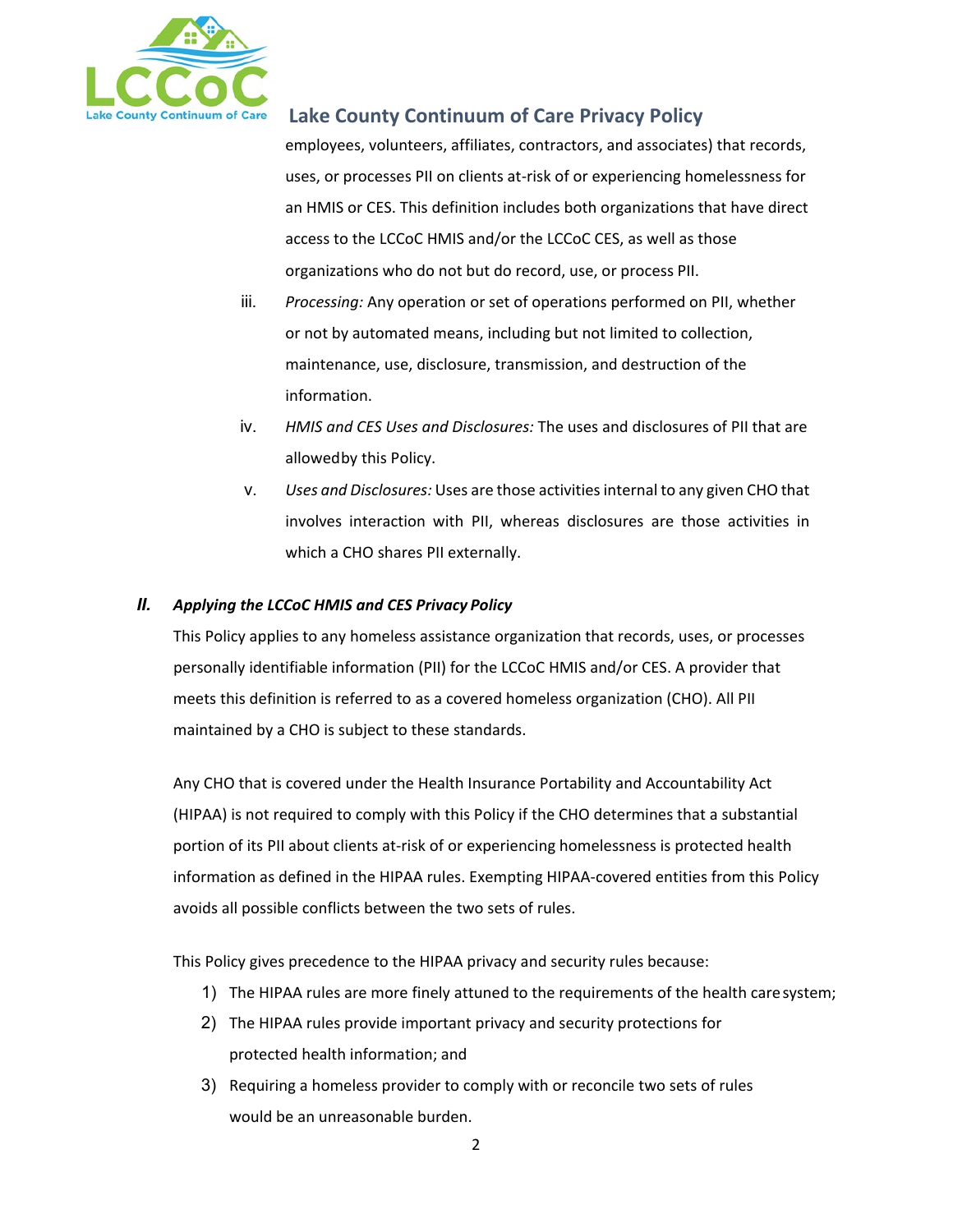

employees, volunteers, affiliates, contractors, and associates) that records, uses, or processes PII on clients at-risk of or experiencing homelessness for an HMIS or CES. This definition includes both organizations that have direct access to the LCCoC HMIS and/or the LCCoC CES, as well as those organizations who do not but do record, use, or process PII.

- iii. *Processing:* Any operation or set of operations performed on PII, whether or not by automated means, including but not limited to collection, maintenance, use, disclosure, transmission, and destruction of the information.
- iv. *HMIS and CES Uses and Disclosures:* The uses and disclosures of PII that are allowedby this Policy.
- v. *Uses and Disclosures:* Uses are those activities internal to any given CHO that involves interaction with PII, whereas disclosures are those activities in which a CHO shares PII externally.

### *II. Applying the LCCoC HMIS and CES Privacy Policy*

This Policy applies to any homeless assistance organization that records, uses, or processes personally identifiable information (PII) for the LCCoC HMIS and/or CES. A provider that meets this definition is referred to as a covered homeless organization (CHO). All PII maintained by a CHO is subject to these standards.

Any CHO that is covered under the Health Insurance Portability and Accountability Act (HIPAA) is not required to comply with this Policy if the CHO determines that a substantial portion of its PII about clients at-risk of or experiencing homelessness is protected health information as defined in the HIPAA rules. Exempting HIPAA-covered entities from this Policy avoids all possible conflicts between the two sets of rules.

This Policy gives precedence to the HIPAA privacy and security rules because:

- 1) The HIPAA rules are more finely attuned to the requirements of the health caresystem;
- 2) The HIPAA rules provide important privacy and security protections for protected health information; and
- 3) Requiring a homeless provider to comply with or reconcile two sets of rules would be an unreasonable burden.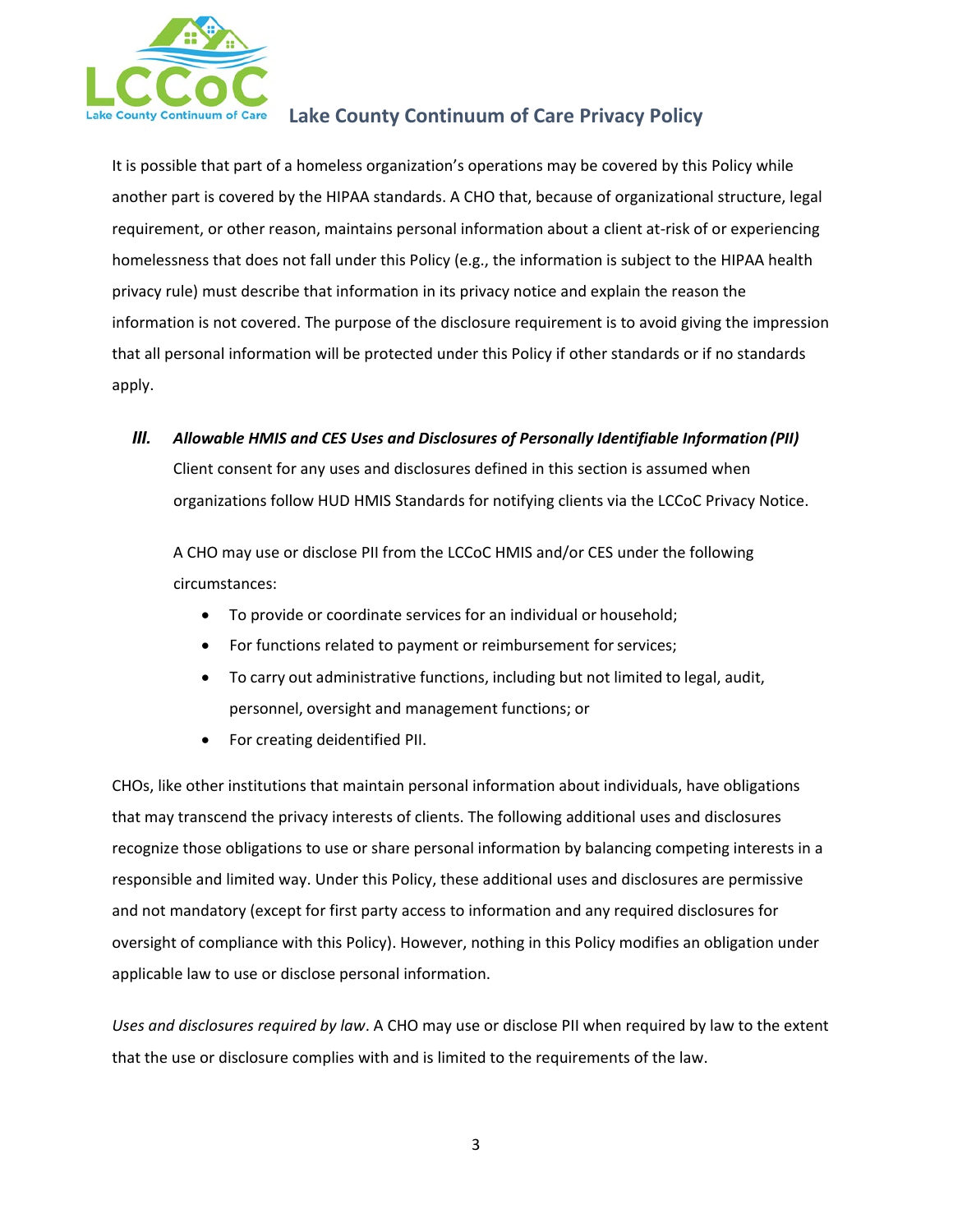

It is possible that part of a homeless organization's operations may be covered by this Policy while another part is covered by the HIPAA standards. A CHO that, because of organizational structure, legal requirement, or other reason, maintains personal information about a client at-risk of or experiencing homelessness that does not fall under this Policy (e.g., the information is subject to the HIPAA health privacy rule) must describe that information in its privacy notice and explain the reason the information is not covered. The purpose of the disclosure requirement is to avoid giving the impression that all personal information will be protected under this Policy if other standards or if no standards apply.

*III. Allowable HMIS and CES Uses and Disclosures of Personally Identifiable Information (PII)*

Client consent for any uses and disclosures defined in this section is assumed when organizations follow HUD HMIS Standards for notifying clients via the LCCoC Privacy Notice.

A CHO may use or disclose PII from the LCCoC HMIS and/or CES under the following circumstances:

- To provide or coordinate services for an individual or household;
- For functions related to payment or reimbursement for services;
- To carry out administrative functions, including but not limited to legal, audit, personnel, oversight and management functions; or
- For creating deidentified PII.

CHOs, like other institutions that maintain personal information about individuals, have obligations that may transcend the privacy interests of clients. The following additional uses and disclosures recognize those obligations to use or share personal information by balancing competing interests in a responsible and limited way. Under this Policy, these additional uses and disclosures are permissive and not mandatory (except for first party access to information and any required disclosures for oversight of compliance with this Policy). However, nothing in this Policy modifies an obligation under applicable law to use or disclose personal information.

*Uses and disclosures required by law*. A CHO may use or disclose PII when required by law to the extent that the use or disclosure complies with and is limited to the requirements of the law.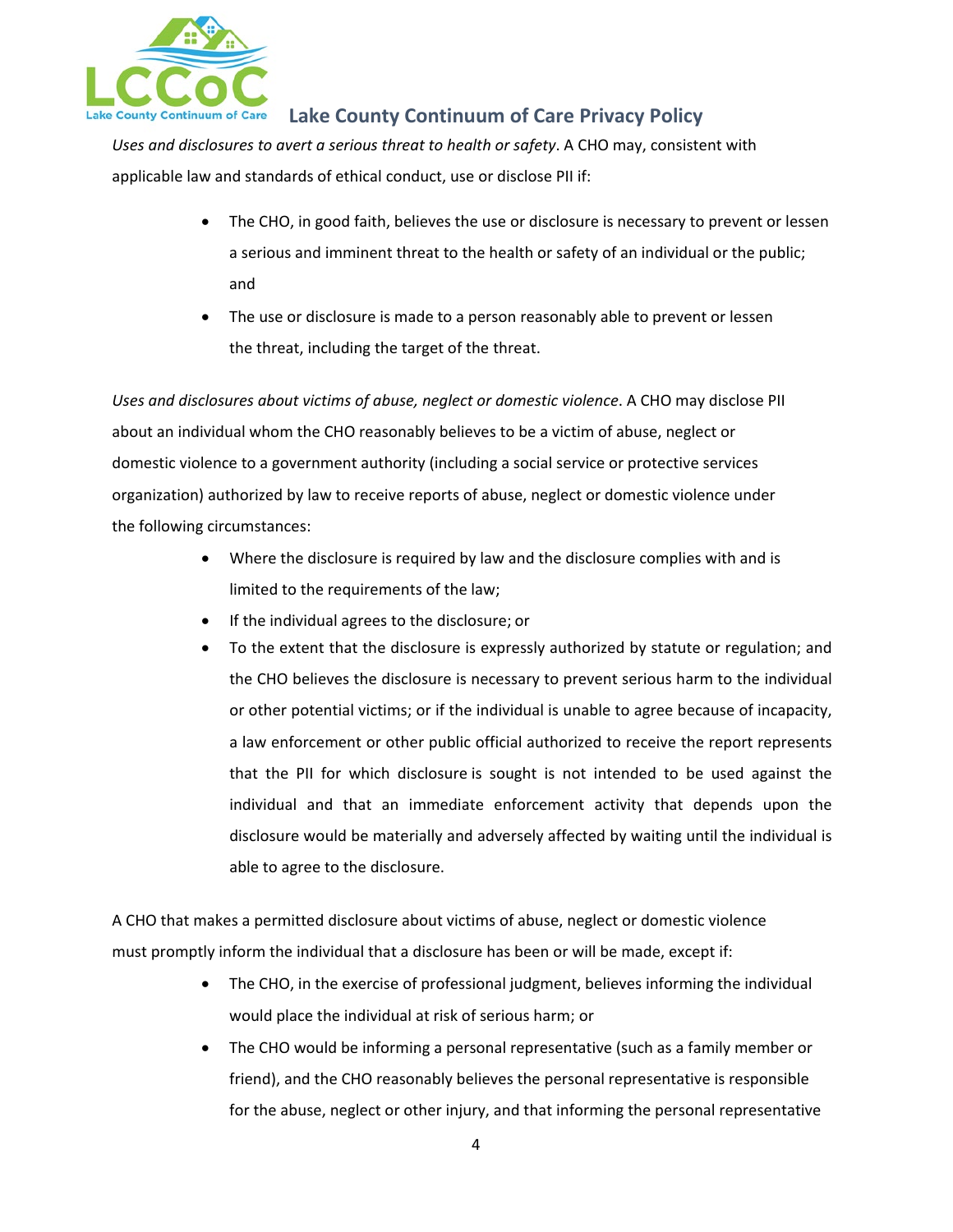

*Uses and disclosures to avert a serious threat to health or safety*. A CHO may, consistent with applicable law and standards of ethical conduct, use or disclose PII if:

- The CHO, in good faith, believes the use or disclosure is necessary to prevent or lessen a serious and imminent threat to the health or safety of an individual or the public; and
- The use or disclosure is made to a person reasonably able to prevent or lessen the threat, including the target of the threat.

*Uses and disclosures about victims of abuse, neglect or domestic violence*. A CHO may disclose PII about an individual whom the CHO reasonably believes to be a victim of abuse, neglect or domestic violence to a government authority (including a social service or protective services organization) authorized by law to receive reports of abuse, neglect or domestic violence under the following circumstances:

- Where the disclosure is required by law and the disclosure complies with and is limited to the requirements of the law;
- If the individual agrees to the disclosure; or
- To the extent that the disclosure is expressly authorized by statute or regulation; and the CHO believes the disclosure is necessary to prevent serious harm to the individual or other potential victims; or if the individual is unable to agree because of incapacity, a law enforcement or other public official authorized to receive the report represents that the PII for which disclosure is sought is not intended to be used against the individual and that an immediate enforcement activity that depends upon the disclosure would be materially and adversely affected by waiting until the individual is able to agree to the disclosure.

A CHO that makes a permitted disclosure about victims of abuse, neglect or domestic violence must promptly inform the individual that a disclosure has been or will be made, except if:

- The CHO, in the exercise of professional judgment, believes informing the individual would place the individual at risk of serious harm; or
- The CHO would be informing a personal representative (such as a family member or friend), and the CHO reasonably believes the personal representative is responsible for the abuse, neglect or other injury, and that informing the personal representative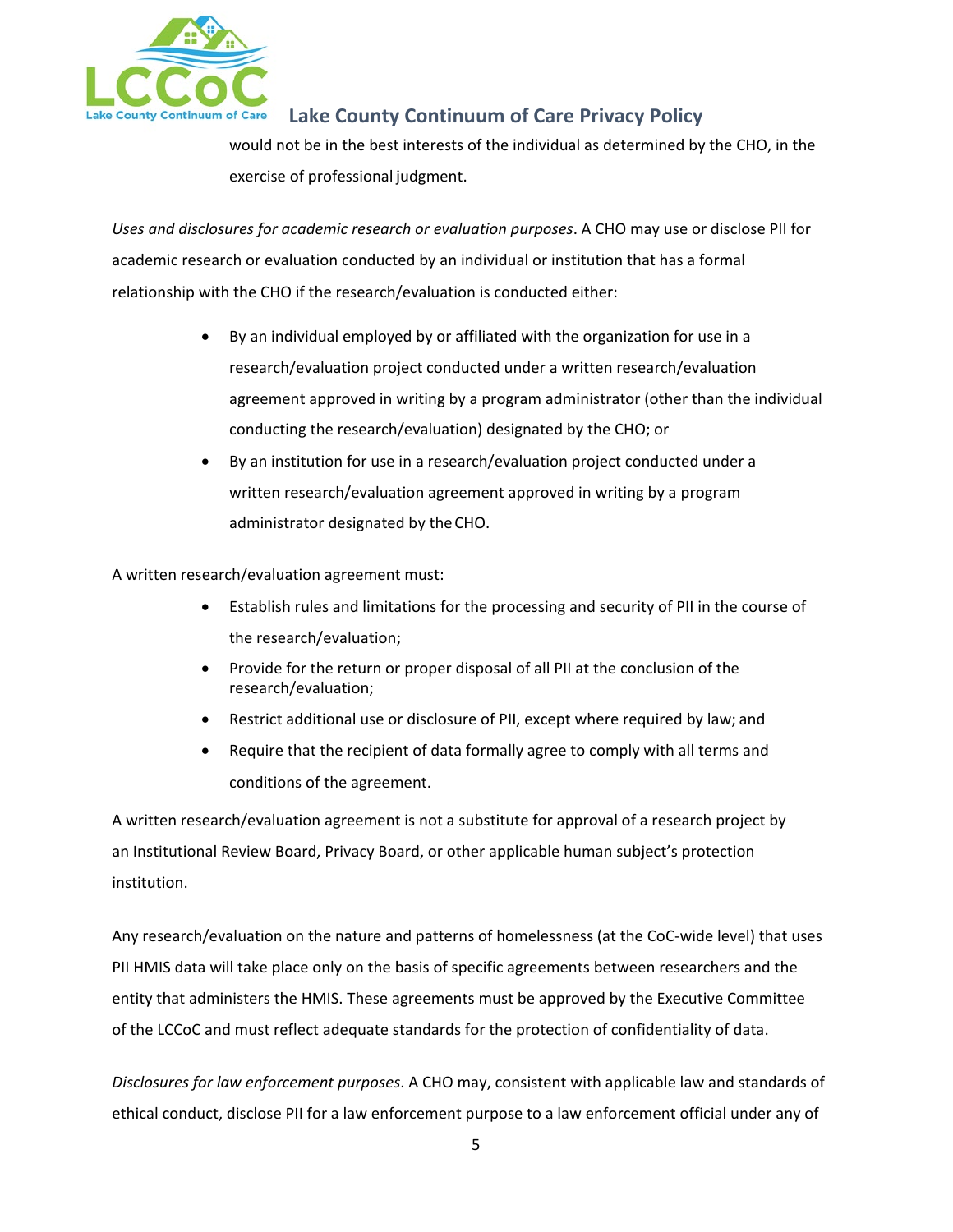

would not be in the best interests of the individual as determined by the CHO, in the exercise of professional judgment.

*Uses and disclosures for academic research or evaluation purposes*. A CHO may use or disclose PII for academic research or evaluation conducted by an individual or institution that has a formal relationship with the CHO if the research/evaluation is conducted either:

- By an individual employed by or affiliated with the organization for use in a research/evaluation project conducted under a written research/evaluation agreement approved in writing by a program administrator (other than the individual conducting the research/evaluation) designated by the CHO; or
- By an institution for use in a research/evaluation project conducted under a written research/evaluation agreement approved in writing by a program administrator designated by theCHO.

A written research/evaluation agreement must:

- Establish rules and limitations for the processing and security of PII in the course of the research/evaluation;
- Provide for the return or proper disposal of all PII at the conclusion of the research/evaluation;
- Restrict additional use or disclosure of PII, except where required by law; and
- Require that the recipient of data formally agree to comply with all terms and conditions of the agreement.

A written research/evaluation agreement is not a substitute for approval of a research project by an Institutional Review Board, Privacy Board, or other applicable human subject's protection institution.

Any research/evaluation on the nature and patterns of homelessness (at the CoC-wide level) that uses PII HMIS data will take place only on the basis of specific agreements between researchers and the entity that administers the HMIS. These agreements must be approved by the Executive Committee of the LCCoC and must reflect adequate standards for the protection of confidentiality of data.

*Disclosures for law enforcement purposes*. A CHO may, consistent with applicable law and standards of ethical conduct, disclose PII for a law enforcement purpose to a law enforcement official under any of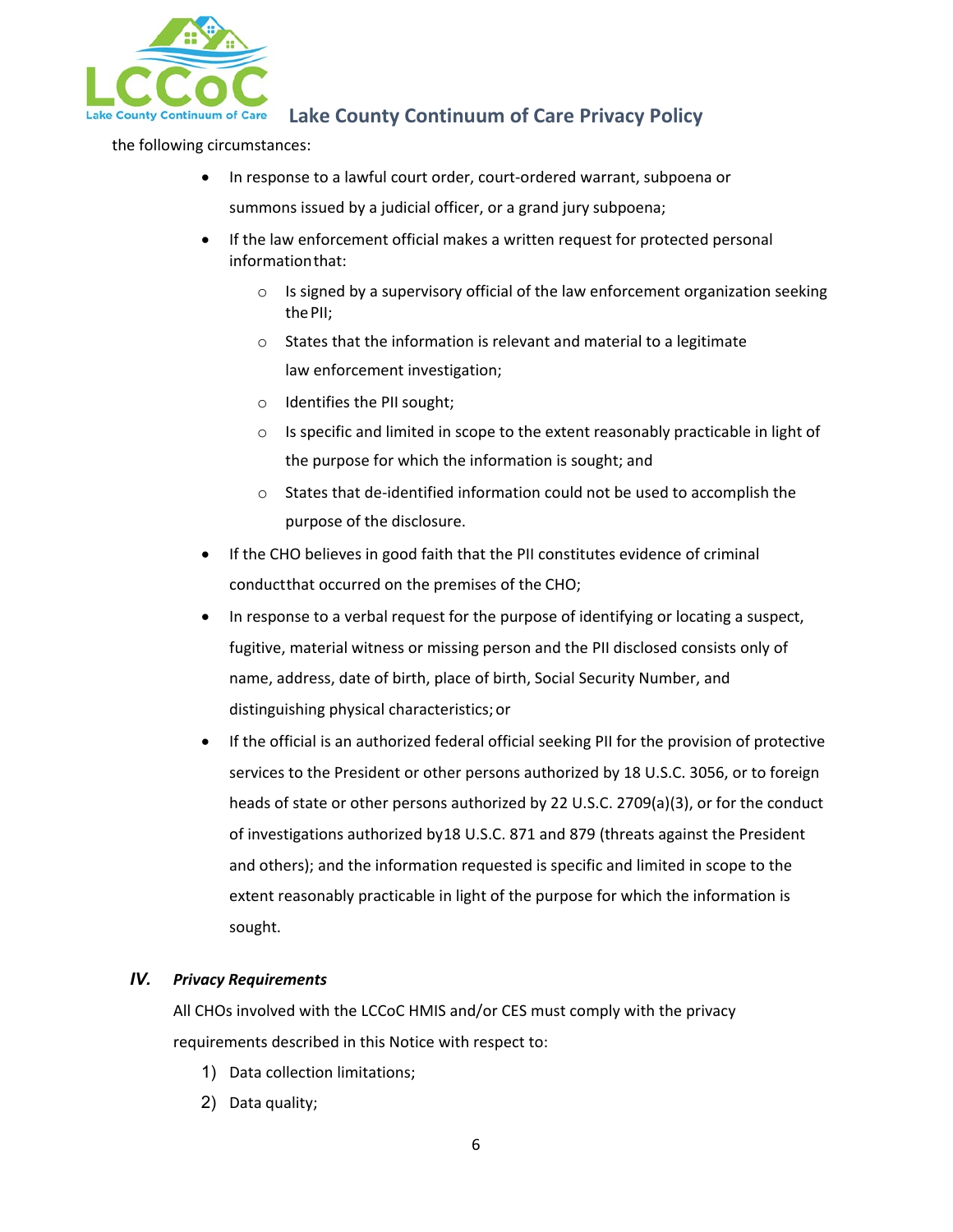

the following circumstances:

- In response to a lawful court order, court-ordered warrant, subpoena or summons issued by a judicial officer, or a grand jury subpoena;
- If the law enforcement official makes a written request for protected personal informationthat:
	- $\circ$  Is signed by a supervisory official of the law enforcement organization seeking thePII;
	- o States that the information is relevant and material to a legitimate law enforcement investigation;
	- o Identifies the PII sought;
	- $\circ$  Is specific and limited in scope to the extent reasonably practicable in light of the purpose for which the information is sought; and
	- o States that de-identified information could not be used to accomplish the purpose of the disclosure.
- If the CHO believes in good faith that the PII constitutes evidence of criminal conductthat occurred on the premises of the CHO;
- In response to a verbal request for the purpose of identifying or locating a suspect, fugitive, material witness or missing person and the PII disclosed consists only of name, address, date of birth, place of birth, Social Security Number, and distinguishing physical characteristics;or
- If the official is an authorized federal official seeking PII for the provision of protective services to the President or other persons authorized by 18 U.S.C. 3056, or to foreign heads of state or other persons authorized by 22 U.S.C. 2709(a)(3), or for the conduct of investigations authorized by18 U.S.C. 871 and 879 (threats against the President and others); and the information requested is specific and limited in scope to the extent reasonably practicable in light of the purpose for which the information is sought.

#### *IV. Privacy Requirements*

All CHOs involved with the LCCoC HMIS and/or CES must comply with the privacy requirements described in this Notice with respect to:

- 1) Data collection limitations;
- 2) Data quality;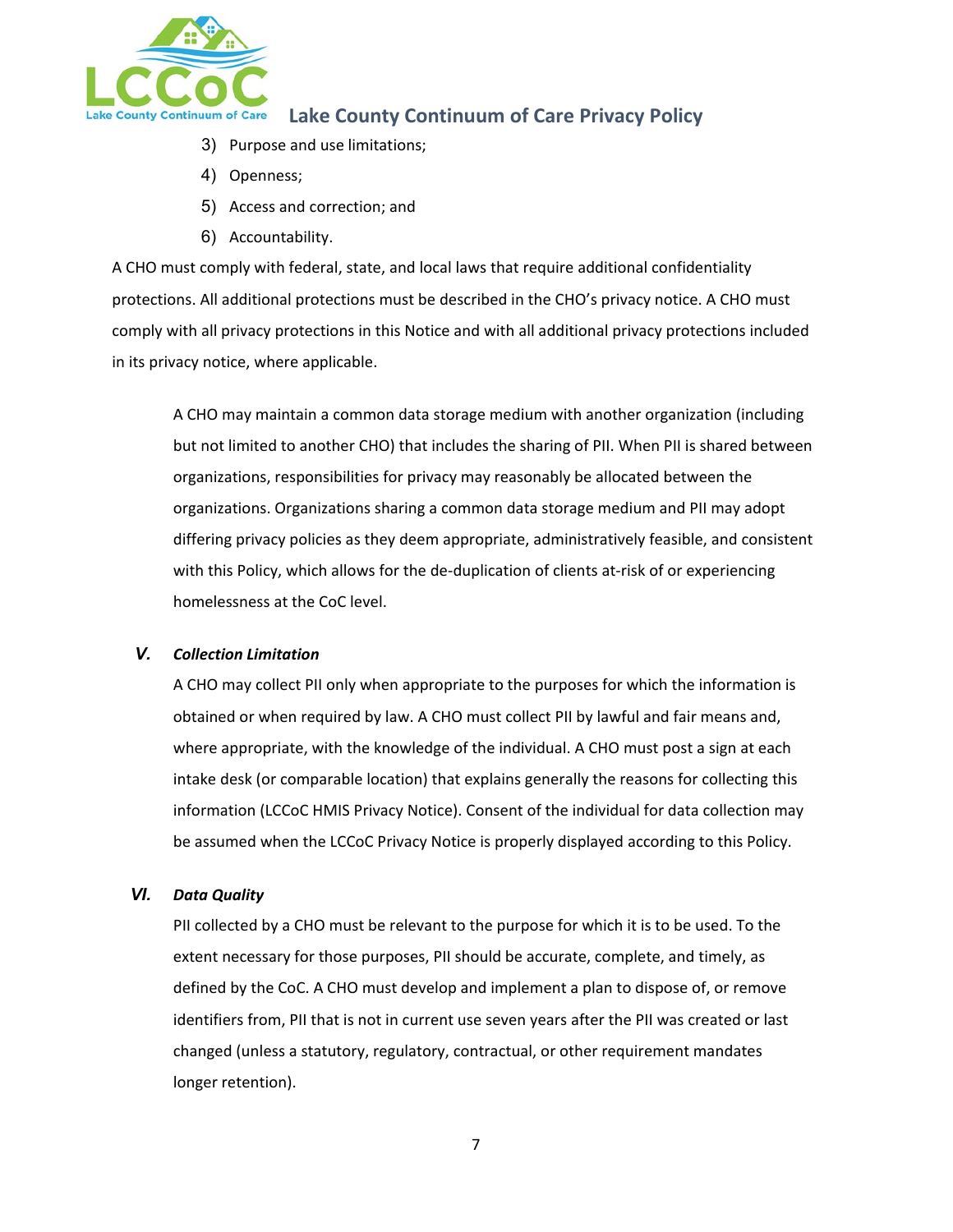

- 3) Purpose and use limitations;
- 4) Openness;
- 5) Access and correction; and
- 6) Accountability.

A CHO must comply with federal, state, and local laws that require additional confidentiality protections. All additional protections must be described in the CHO's privacy notice. A CHO must comply with all privacy protections in this Notice and with all additional privacy protections included in its privacy notice, where applicable.

A CHO may maintain a common data storage medium with another organization (including but not limited to another CHO) that includes the sharing of PII. When PII is shared between organizations, responsibilities for privacy may reasonably be allocated between the organizations. Organizations sharing a common data storage medium and PII may adopt differing privacy policies as they deem appropriate, administratively feasible, and consistent with this Policy, which allows for the de-duplication of clients at-risk of or experiencing homelessness at the CoC level.

#### *V. Collection Limitation*

A CHO may collect PII only when appropriate to the purposes for which the information is obtained or when required by law. A CHO must collect PII by lawful and fair means and, where appropriate, with the knowledge of the individual. A CHO must post a sign at each intake desk (or comparable location) that explains generally the reasons for collecting this information (LCCoC HMIS Privacy Notice). Consent of the individual for data collection may be assumed when the LCCoC Privacy Notice is properly displayed according to this Policy.

#### *VI. Data Quality*

PII collected by a CHO must be relevant to the purpose for which it is to be used. To the extent necessary for those purposes, PII should be accurate, complete, and timely, as defined by the CoC. A CHO must develop and implement a plan to dispose of, or remove identifiers from, PII that is not in current use seven years after the PII was created or last changed (unless a statutory, regulatory, contractual, or other requirement mandates longer retention).

7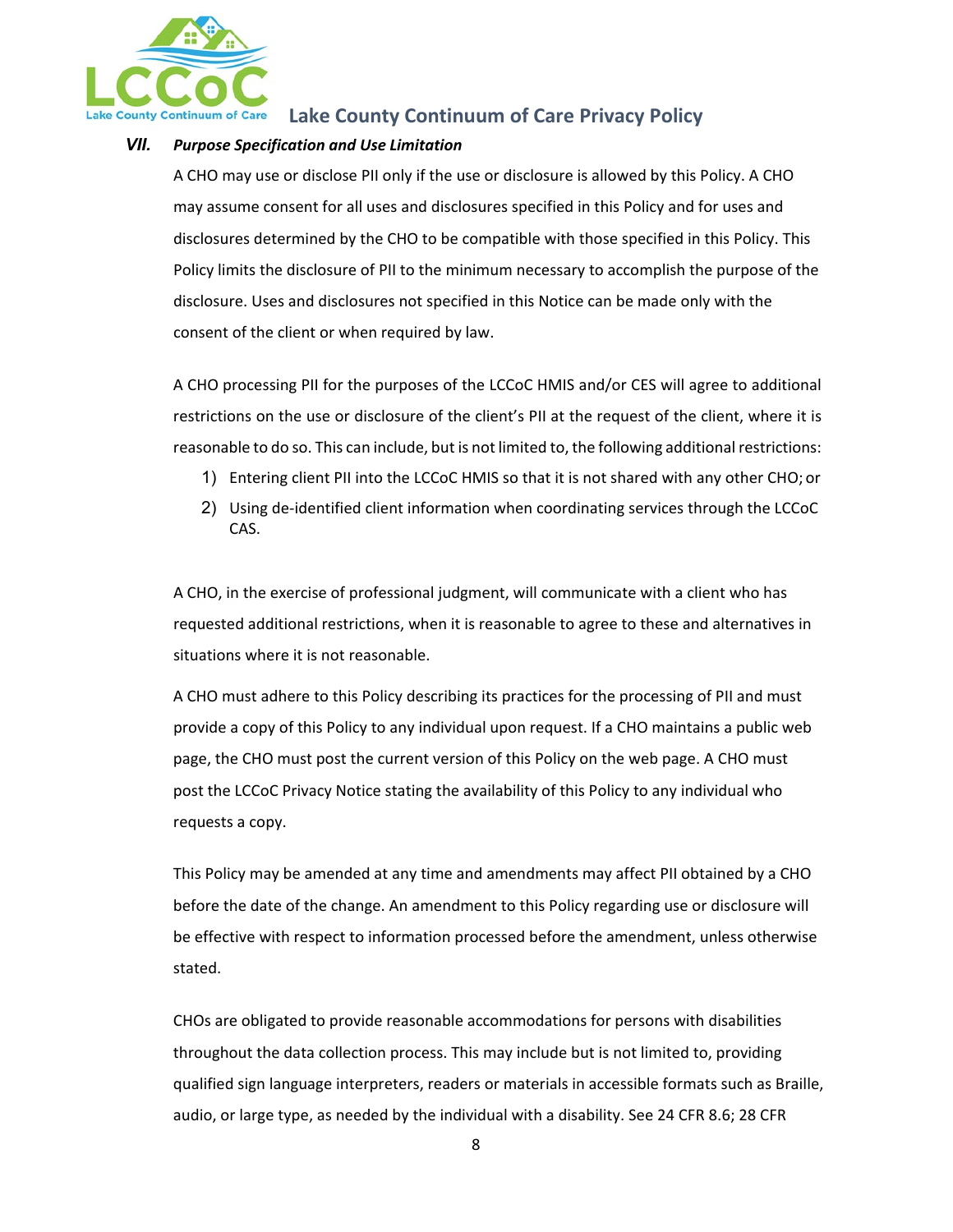

### *VII. Purpose Specification and Use Limitation*

A CHO may use or disclose PII only if the use or disclosure is allowed by this Policy. A CHO may assume consent for all uses and disclosures specified in this Policy and for uses and disclosures determined by the CHO to be compatible with those specified in this Policy. This Policy limits the disclosure of PII to the minimum necessary to accomplish the purpose of the disclosure. Uses and disclosures not specified in this Notice can be made only with the consent of the client or when required by law.

A CHO processing PII for the purposes of the LCCoC HMIS and/or CES will agree to additional restrictions on the use or disclosure of the client's PII at the request of the client, where it is reasonable to do so. This can include, but is not limited to, the following additional restrictions:

- 1) Entering client PII into the LCCoC HMIS so that it is not shared with any other CHO; or
- 2) Using de-identified client information when coordinating services through the LCCoC CAS.

A CHO, in the exercise of professional judgment, will communicate with a client who has requested additional restrictions, when it is reasonable to agree to these and alternatives in situations where it is not reasonable.

A CHO must adhere to this Policy describing its practices for the processing of PII and must provide a copy of this Policy to any individual upon request. If a CHO maintains a public web page, the CHO must post the current version of this Policy on the web page. A CHO must post the LCCoC Privacy Notice stating the availability of this Policy to any individual who requests a copy.

This Policy may be amended at any time and amendments may affect PII obtained by a CHO before the date of the change. An amendment to this Policy regarding use or disclosure will be effective with respect to information processed before the amendment, unless otherwise stated.

CHOs are obligated to provide reasonable accommodations for persons with disabilities throughout the data collection process. This may include but is not limited to, providing qualified sign language interpreters, readers or materials in accessible formats such as Braille, audio, or large type, as needed by the individual with a disability. See 24 CFR 8.6; 28 CFR

8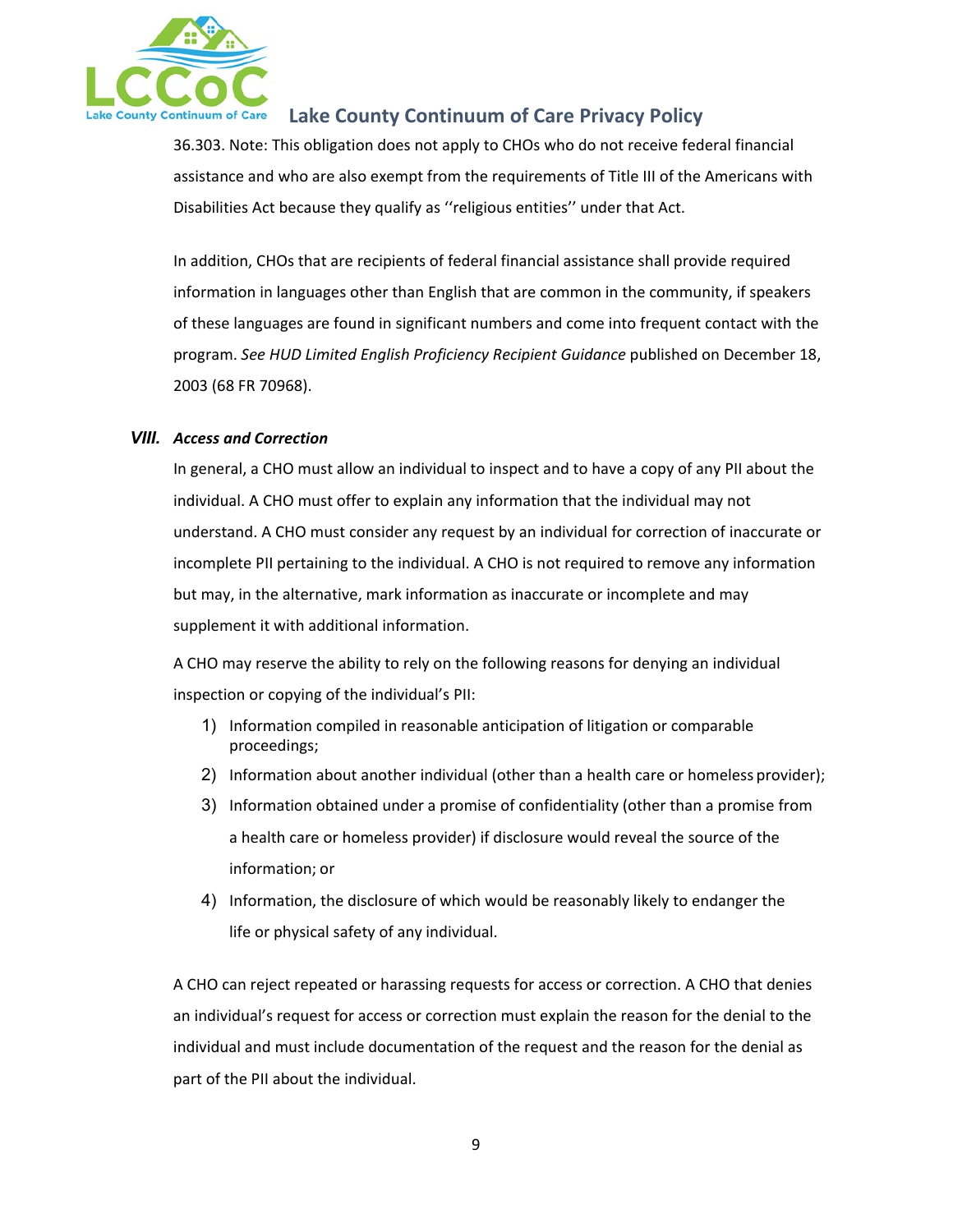

36.303. Note: This obligation does not apply to CHOs who do not receive federal financial assistance and who are also exempt from the requirements of Title III of the Americans with Disabilities Act because they qualify as ''religious entities'' under that Act.

In addition, CHOs that are recipients of federal financial assistance shall provide required information in languages other than English that are common in the community, if speakers of these languages are found in significant numbers and come into frequent contact with the program. *See HUD Limited English Proficiency Recipient Guidance* published on December 18, 2003 (68 FR 70968).

#### *VIII. Access and Correction*

In general, a CHO must allow an individual to inspect and to have a copy of any PII about the individual. A CHO must offer to explain any information that the individual may not understand. A CHO must consider any request by an individual for correction of inaccurate or incomplete PII pertaining to the individual. A CHO is not required to remove any information but may, in the alternative, mark information as inaccurate or incomplete and may supplement it with additional information.

A CHO may reserve the ability to rely on the following reasons for denying an individual inspection or copying of the individual's PII:

- 1) Information compiled in reasonable anticipation of litigation or comparable proceedings;
- 2) Information about another individual (other than a health care or homeless provider);
- 3) Information obtained under a promise of confidentiality (other than a promise from a health care or homeless provider) if disclosure would reveal the source of the information; or
- 4) Information, the disclosure of which would be reasonably likely to endanger the life or physical safety of any individual.

A CHO can reject repeated or harassing requests for access or correction. A CHO that denies an individual's request for access or correction must explain the reason for the denial to the individual and must include documentation of the request and the reason for the denial as part of the PII about the individual.